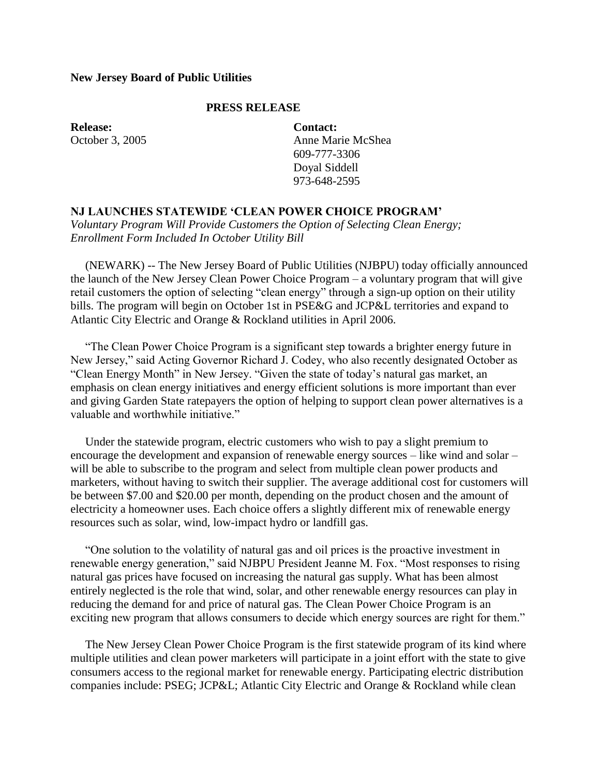## **New Jersey Board of Public Utilities**

## **PRESS RELEASE**

**Release:** October 3, 2005 **Contact:** Anne Marie McShea 609-777-3306 Doyal Siddell 973-648-2595

## **NJ LAUNCHES STATEWIDE 'CLEAN POWER CHOICE PROGRAM'**

*Voluntary Program Will Provide Customers the Option of Selecting Clean Energy; Enrollment Form Included In October Utility Bill*

 (NEWARK) -- The New Jersey Board of Public Utilities (NJBPU) today officially announced the launch of the New Jersey Clean Power Choice Program – a voluntary program that will give retail customers the option of selecting "clean energy" through a sign-up option on their utility bills. The program will begin on October 1st in PSE&G and JCP&L territories and expand to Atlantic City Electric and Orange & Rockland utilities in April 2006.

 "The Clean Power Choice Program is a significant step towards a brighter energy future in New Jersey," said Acting Governor Richard J. Codey, who also recently designated October as "Clean Energy Month" in New Jersey. "Given the state of today's natural gas market, an emphasis on clean energy initiatives and energy efficient solutions is more important than ever and giving Garden State ratepayers the option of helping to support clean power alternatives is a valuable and worthwhile initiative."

 Under the statewide program, electric customers who wish to pay a slight premium to encourage the development and expansion of renewable energy sources – like wind and solar – will be able to subscribe to the program and select from multiple clean power products and marketers, without having to switch their supplier. The average additional cost for customers will be between \$7.00 and \$20.00 per month, depending on the product chosen and the amount of electricity a homeowner uses. Each choice offers a slightly different mix of renewable energy resources such as solar, wind, low-impact hydro or landfill gas.

 "One solution to the volatility of natural gas and oil prices is the proactive investment in renewable energy generation," said NJBPU President Jeanne M. Fox. "Most responses to rising natural gas prices have focused on increasing the natural gas supply. What has been almost entirely neglected is the role that wind, solar, and other renewable energy resources can play in reducing the demand for and price of natural gas. The Clean Power Choice Program is an exciting new program that allows consumers to decide which energy sources are right for them."

 The New Jersey Clean Power Choice Program is the first statewide program of its kind where multiple utilities and clean power marketers will participate in a joint effort with the state to give consumers access to the regional market for renewable energy. Participating electric distribution companies include: PSEG; JCP&L; Atlantic City Electric and Orange & Rockland while clean